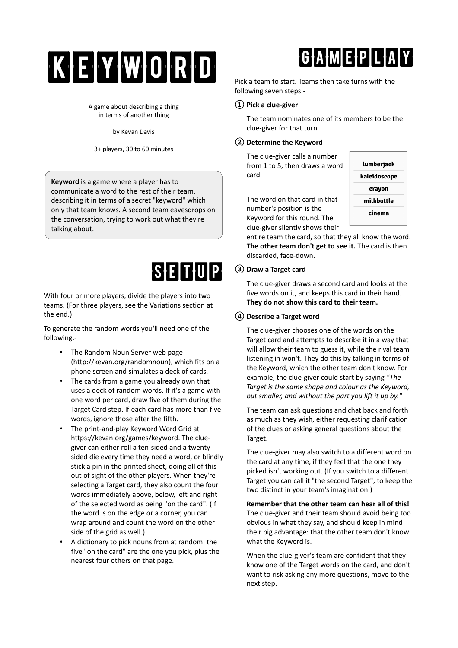# KEYWORD

A game about describing a thing in terms of another thing

by Kevan Davis

3+ players, 30 to 60 minutes

**Keyword** is a game where a player has to communicate a word to the rest of their team, describing it in terms of a secret "keyword" which only that team knows. A second team eavesdrops on the conversation, trying to work out what they're talking about.

### SETUP

With four or more players, divide the players into two teams. (For three players, see the Variations section at the end.)

To generate the random words you'll need one of the following:-

- The Random Noun Server web page (http://kevan.org/randomnoun), which fits on a phone screen and simulates a deck of cards.
- The cards from a game you already own that uses a deck of random words. If it's a game with one word per card, draw five of them during the Target Card step. If each card has more than five words, ignore those after the fifth.
- The print-and-play Keyword Word Grid at https://kevan.org/games/keyword. The cluegiver can either roll a ten-sided and a twentysided die every time they need a word, or blindly stick a pin in the printed sheet, doing all of this out of sight of the other players. When they're selecting a Target card, they also count the four words immediately above, below, left and right of the selected word as being "on the card". (If the word is on the edge or a corner, you can wrap around and count the word on the other side of the grid as well.)
- A dictionary to pick nouns from at random: the five "on the card" are the one you pick, plus the nearest four others on that page.

### GAMEPLAY

Pick a team to start. Teams then take turns with the following seven steps:-

#### **① Pick a clue-giver**

The team nominates one of its members to be the clue-giver for that turn.

#### **② Determine the Keyword**

The clue-giver calls a number from 1 to 5, then draws a word card.



The word on that card in that number's position is the Keyword for this round. The clue-giver silently shows their

entire team the card, so that they all know the word. **The other team don't get to see it.** The card is then discarded, face-down.

#### **③ Draw a Target card**

The clue-giver draws a second card and looks at the five words on it, and keeps this card in their hand. **They do not show this card to their team.**

#### **④ Describe a Target word**

The clue-giver chooses one of the words on the Target card and attempts to describe it in a way that will allow their team to guess it, while the rival team listening in won't. They do this by talking in terms of the Keyword, which the other team don't know. For example, the clue-giver could start by saying *"The Target is the same shape and colour as the Keyword, but smaller, and without the part you lift it up by."*

The team can ask questions and chat back and forth as much as they wish, either requesting clarification of the clues or asking general questions about the Target.

The clue-giver may also switch to a different word on the card at any time, if they feel that the one they picked isn't working out. (If you switch to a different Target you can call it "the second Target", to keep the two distinct in your team's imagination.)

**Remember that the other team can hear all of this!** The clue-giver and their team should avoid being too obvious in what they say, and should keep in mind their big advantage: that the other team don't know what the Keyword is.

When the clue-giver's team are confident that they know one of the Target words on the card, and don't want to risk asking any more questions, move to the next step.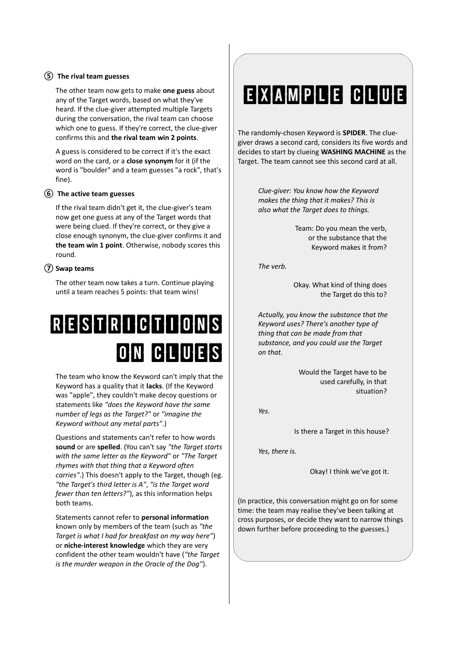#### **⑤ The rival team guesses**

The other team now gets to make **one guess** about any of the Target words, based on what they've heard. If the clue-giver attempted multiple Targets during the conversation, the rival team can choose which one to guess. If they're correct, the clue-giver confirms this and **the rival team win 2 points**.

A guess is considered to be correct if it's the exact word on the card, or a **close synonym** for it (if the word is "boulder" and a team guesses "a rock", that's fine).

#### **⑥ The active team guesses**

If the rival team didn't get it, the clue-giver's team now get one guess at any of the Target words that were being clued. If they're correct, or they give a close enough synonym, the clue-giver confirms it and **the team win 1 point**. Otherwise, nobody scores this round.

#### **⑦ Swap teams**

The other team now takes a turn. Continue playing until a team reaches 5 points: that team wins!

## RESTRICTIONS on clues

The team who know the Keyword can't imply that the Keyword has a quality that it **lacks**. (If the Keyword was "apple", they couldn't make decoy questions or statements like *"does the Keyword have the same number of legs as the Target?"* or *"imagine the Keyword without any metal parts"*.)

Questions and statements can't refer to how words **sound** or are **spelled**. (You can't say *"the Target starts with the same letter as the Keyword"* or *"The Target rhymes with that thing that a Keyword often carries"*.) This doesn't apply to the Target, though (eg. *"the Target's third letter is A"*, *"is the Target word fewer than ten letters?"*), as this information helps both teams.

Statements cannot refer to **personal information** known only by members of the team (such as *"the Target is what I had for breakfast on my way here"*) or **niche-interest knowledge** which they are very confident the other team wouldn't have (*"the Target is the murder weapon in the Oracle of the Dog"*).

### EXAMPLE CLUE

The randomly-chosen Keyword is **SPIDER**. The cluegiver draws a second card, considers its five words and decides to start by clueing **WASHING MACHINE** as the Target. The team cannot see this second card at all.

> *Clue-giver: You know how the Keyword makes the thing that it makes? This is also what the Target does to things.*

> > Team: Do you mean the verb, or the substance that the Keyword makes it from?

*The verb.*

Okay. What kind of thing does the Target do this to?

*Actually, you know the substance that the Keyword uses? There's another type of thing that can be made from that substance, and you could use the Target on that.*

> Would the Target have to be used carefully, in that situation?

*Yes.*

Is there a Target in this house?

*Yes, there is.*

Okay! I think we've got it.

(In practice, this conversation might go on for some time: the team may realise they've been talking at cross purposes, or decide they want to narrow things down further before proceeding to the guesses.)